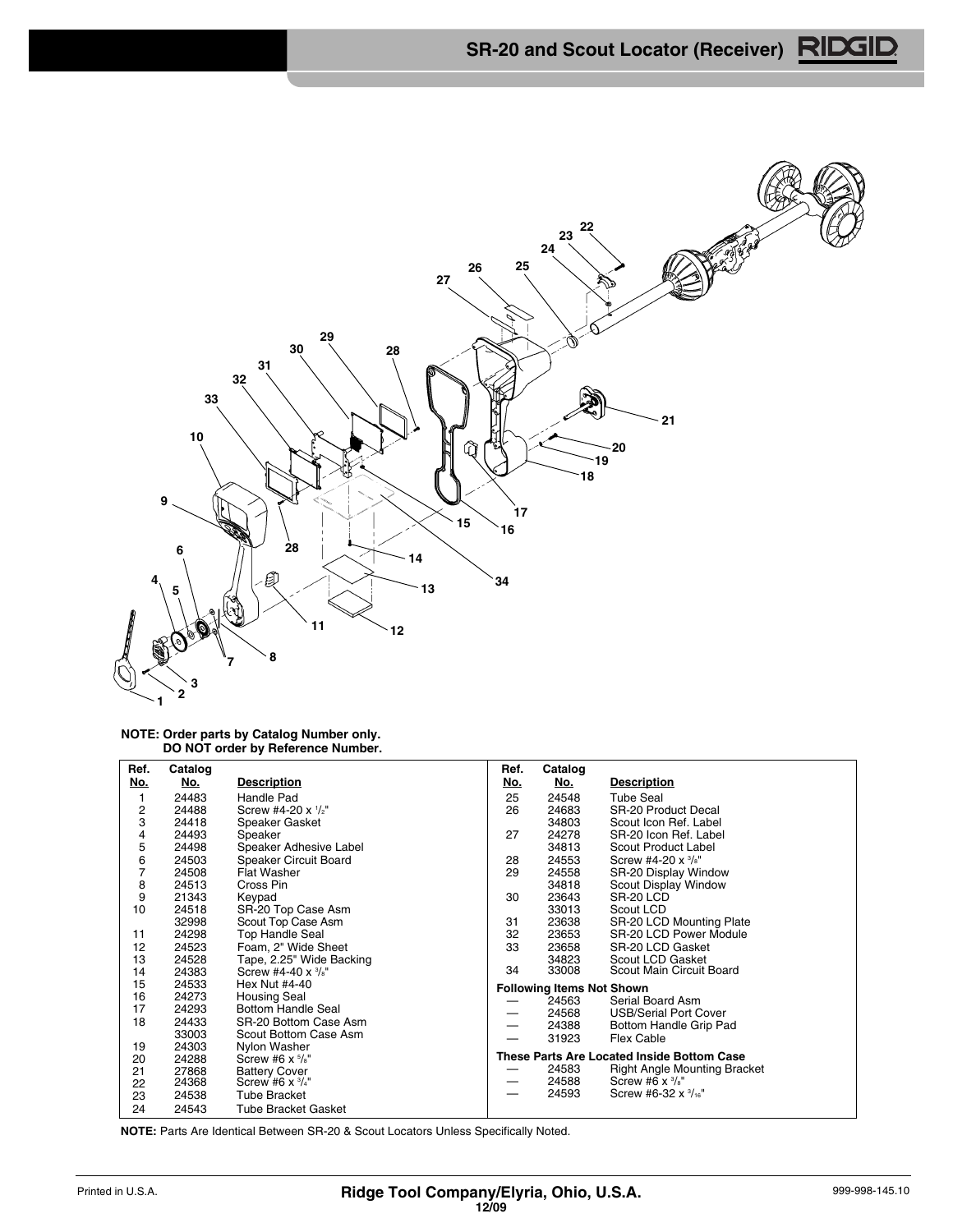

## **NOTE: Order parts by Catalog Number only. DO NOT order by Reference Number.**

| Ref.<br>No.    | Catalog<br>No. | <b>Description</b>                   | Ref.<br><u>No.</u> | Catalog<br>No.                   | <b>Description</b>                         |
|----------------|----------------|--------------------------------------|--------------------|----------------------------------|--------------------------------------------|
|                |                |                                      |                    |                                  |                                            |
| 1              | 24483          | Handle Pad                           | 25                 | 24548                            | <b>Tube Seal</b>                           |
| $\frac{2}{3}$  | 24488          | Screw #4-20 x 1/2"                   | 26                 | 24683                            | <b>SR-20 Product Decal</b>                 |
|                | 24418          | Speaker Gasket                       |                    | 34803                            | Scout Icon Ref. Label                      |
| 4              | 24493          | Speaker                              | 27                 | 24278                            | SR-20 Icon Ref. Label                      |
| 5              | 24498          | Speaker Adhesive Label               |                    | 34813                            | Scout Product Label                        |
| 6              | 24503          | Speaker Circuit Board                | 28                 | 24553                            | Screw #4-20 $x \frac{3}{8}$ "              |
| $\overline{7}$ | 24508          | Flat Washer                          | 29                 | 24558                            | SR-20 Display Window                       |
| 8              | 24513          | Cross Pin                            |                    | 34818                            | Scout Display Window                       |
| 9              | 21343          | Keypad                               | 30                 | 23643                            | SR-20 LCD                                  |
| 10             | 24518          | SR-20 Top Case Asm                   |                    | 33013                            | Scout LCD                                  |
|                | 32998          | Scout Top Case Asm                   | 31                 | 23638                            | SR-20 LCD Mounting Plate                   |
| 11             | 24298          | Top Handle Seal                      | 32                 | 23653                            | SR-20 LCD Power Module                     |
| 12             | 24523          | Foam, 2" Wide Sheet                  | 33                 | 23658                            | SR-20 LCD Gasket                           |
| 13             | 24528          | Tape, 2.25" Wide Backing             |                    | 34823                            | Scout LCD Gasket                           |
| 14             | 24383          | Screw #4-40 $\times$ $\frac{3}{8}$ " | 34                 | 33008                            | Scout Main Circuit Board                   |
| 15             | 24533          | Hex Nut #4-40                        |                    | <b>Following Items Not Shown</b> |                                            |
| 16             | 24273          | <b>Housing Seal</b>                  |                    | 24563                            | Serial Board Asm                           |
| 17             | 24293          | <b>Bottom Handle Seal</b>            |                    | 24568                            | <b>USB/Serial Port Cover</b>               |
| 18             | 24433          | SR-20 Bottom Case Asm                |                    | 24388                            | Bottom Handle Grip Pad                     |
|                | 33003          | Scout Bottom Case Asm                |                    | 31923                            | <b>Flex Cable</b>                          |
| 19             | 24303          | Nylon Washer                         |                    |                                  |                                            |
| 20             | 24288          | Screw #6 $\times$ $\frac{5}{8}$ "    |                    |                                  | These Parts Are Located Inside Bottom Case |
| 21             | 27868          | <b>Battery Cover</b>                 |                    | 24583                            | <b>Right Angle Mounting Bracket</b>        |
| 22             | 24368          | Screw #6 $x \frac{3}{4}$ "           | —                  | 24588                            | Screw #6 $\times$ $\frac{3}{s}$ "          |
| 23             | 24538          | <b>Tube Bracket</b>                  |                    | 24593                            | Screw #6-32 x 3/16"                        |
| 24             | 24543          | <b>Tube Bracket Gasket</b>           |                    |                                  |                                            |

**NOTE:** Parts Are Identical Between SR-20 & Scout Locators Unless Specifically Noted.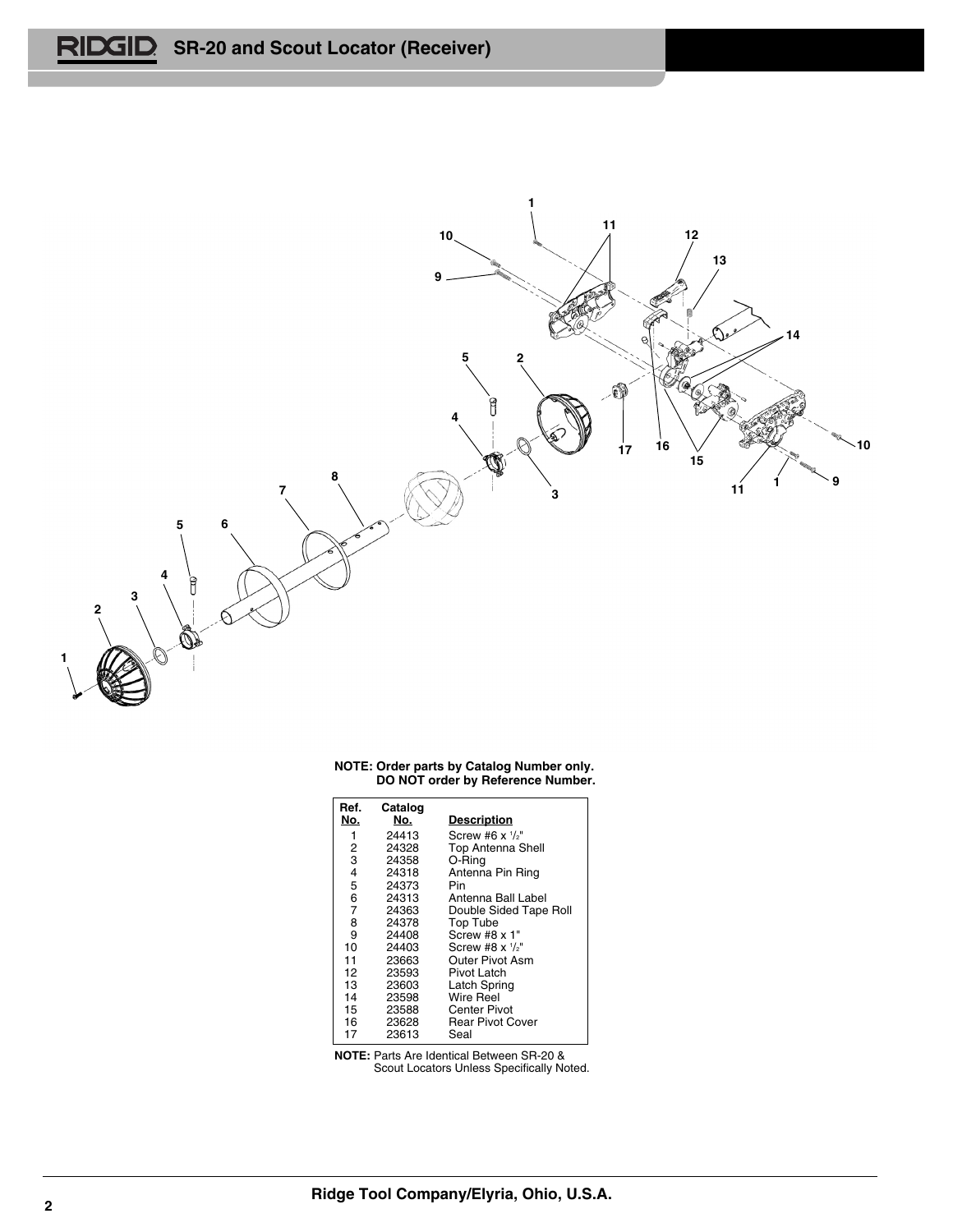

|  | NOTE: Order parts by Catalog Number only. |  |  |  |
|--|-------------------------------------------|--|--|--|
|  | DO NOT order by Reference Number.         |  |  |  |

| Ref.           | Catalog |                                   |
|----------------|---------|-----------------------------------|
| No.            | No.     | <u>Description</u>                |
| 1              | 24413   | Screw #6 $\times$ $1/2$ "         |
| 2              | 24328   | <b>Top Antenna Shell</b>          |
| 3              | 24358   | O-Rina                            |
| 4              | 24318   | Antenna Pin Ring                  |
| 5              | 24373   | Pin                               |
| 6              | 24313   | Antenna Ball Label                |
| $\overline{7}$ | 24363   | Double Sided Tape Roll            |
| 8              | 24378   | Top Tube                          |
| 9              | 24408   | $Screw$ #8 $x$ 1"                 |
| 10             | 24403   | Screw #8 $\times$ $\frac{1}{2}$ " |
| 11             | 23663   | Outer Pivot Asm                   |
| 12             | 23593   | Pivot Latch                       |
| 13             | 23603   | <b>Latch Spring</b>               |
| 14             | 23598   | Wire Reel                         |
| 15             | 23588   | Center Pivot                      |
| 16             | 23628   | Rear Pivot Cover                  |
| 17             | 23613   | Seal                              |

**NOTE:** Parts Are Identical Between SR-20 & Scout Locators Unless Specifically Noted.